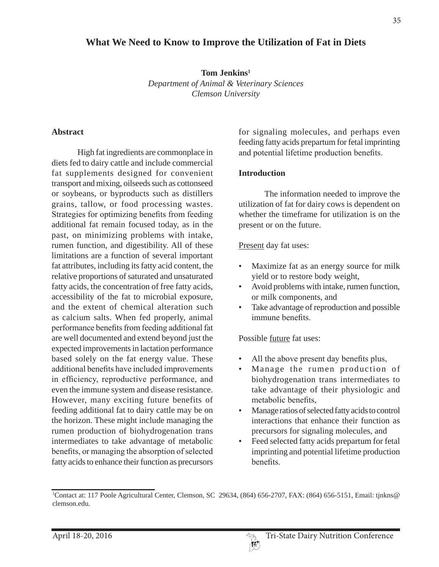# **What We Need to Know to Improve the Utilization of Fat in Diets**

**Tom Jenkins1**  *Department of Animal & Veterinary Sciences Clemson University*

#### **Abstract**

 High fat ingredients are commonplace in diets fed to dairy cattle and include commercial fat supplements designed for convenient transport and mixing, oilseeds such as cottonseed or soybeans, or byproducts such as distillers grains, tallow, or food processing wastes. Strategies for optimizing benefits from feeding additional fat remain focused today, as in the past, on minimizing problems with intake, rumen function, and digestibility. All of these limitations are a function of several important fat attributes, including its fatty acid content, the relative proportions of saturated and unsaturated fatty acids, the concentration of free fatty acids, accessibility of the fat to microbial exposure, and the extent of chemical alteration such as calcium salts. When fed properly, animal performance benefits from feeding additional fat are well documented and extend beyond just the expected improvements in lactation performance based solely on the fat energy value. These additional benefits have included improvements in efficiency, reproductive performance, and even the immune system and disease resistance. However, many exciting future benefits of feeding additional fat to dairy cattle may be on the horizon. These might include managing the rumen production of biohydrogenation trans intermediates to take advantage of metabolic benefits, or managing the absorption of selected fatty acids to enhance their function as precursors

for signaling molecules, and perhaps even feeding fatty acids prepartum for fetal imprinting and potential lifetime production benefits.

#### **Introduction**

 The information needed to improve the utilization of fat for dairy cows is dependent on whether the timeframe for utilization is on the present or on the future.

Present day fat uses:

- Maximize fat as an energy source for milk yield or to restore body weight,
- Avoid problems with intake, rumen function, or milk components, and
- Take advantage of reproduction and possible immune benefits.

Possible future fat uses:

- All the above present day benefits plus.
- Manage the rumen production of biohydrogenation trans intermediates to take advantage of their physiologic and metabolic benefits.
- Manage ratios of selected fatty acids to control interactions that enhance their function as precursors for signaling molecules, and
- Feed selected fatty acids prepartum for fetal imprinting and potential lifetime production henefits

<sup>1</sup> Contact at: 117 Poole Agricultural Center, Clemson, SC 29634, (864) 656-2707, FAX: (864) 656-5151, Email: tjnkns@ clemson.edu.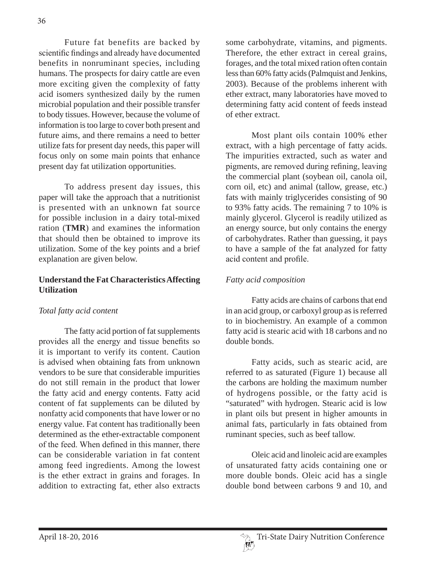Future fat benefits are backed by scientific findings and already have documented benefits in nonruminant species, including humans. The prospects for dairy cattle are even more exciting given the complexity of fatty acid isomers synthesized daily by the rumen microbial population and their possible transfer to body tissues. However, because the volume of information is too large to cover both present and future aims, and there remains a need to better utilize fats for present day needs, this paper will focus only on some main points that enhance present day fat utilization opportunities.

 To address present day issues, this paper will take the approach that a nutritionist is presented with an unknown fat source for possible inclusion in a dairy total-mixed ration (**TMR**) and examines the information that should then be obtained to improve its utilization. Some of the key points and a brief explanation are given below.

# **Understand the Fat Characteristics Affecting Utilization**

# *Total fatty acid content*

 The fatty acid portion of fat supplements provides all the energy and tissue benefits so it is important to verify its content. Caution is advised when obtaining fats from unknown vendors to be sure that considerable impurities do not still remain in the product that lower the fatty acid and energy contents. Fatty acid content of fat supplements can be diluted by nonfatty acid components that have lower or no energy value. Fat content has traditionally been determined as the ether-extractable component of the feed. When defined in this manner, there can be considerable variation in fat content among feed ingredients. Among the lowest is the ether extract in grains and forages. In addition to extracting fat, ether also extracts

some carbohydrate, vitamins, and pigments. Therefore, the ether extract in cereal grains, forages, and the total mixed ration often contain less than 60% fatty acids (Palmquist and Jenkins, 2003). Because of the problems inherent with ether extract, many laboratories have moved to determining fatty acid content of feeds instead of ether extract.

 Most plant oils contain 100% ether extract, with a high percentage of fatty acids. The impurities extracted, such as water and pigments, are removed during refining, leaving the commercial plant (soybean oil, canola oil, corn oil, etc) and animal (tallow, grease, etc.) fats with mainly triglycerides consisting of 90 to 93% fatty acids. The remaining 7 to 10% is mainly glycerol. Glycerol is readily utilized as an energy source, but only contains the energy of carbohydrates. Rather than guessing, it pays to have a sample of the fat analyzed for fatty acid content and profile.

## *Fatty acid composition*

 Fatty acids are chains of carbons that end in an acid group, or carboxyl group as is referred to in biochemistry. An example of a common fatty acid is stearic acid with 18 carbons and no double bonds.

 Fatty acids, such as stearic acid, are referred to as saturated (Figure 1) because all the carbons are holding the maximum number of hydrogens possible, or the fatty acid is "saturated" with hydrogen. Stearic acid is low in plant oils but present in higher amounts in animal fats, particularly in fats obtained from ruminant species, such as beef tallow.

 Oleic acid and linoleic acid are examples of unsaturated fatty acids containing one or more double bonds. Oleic acid has a single double bond between carbons 9 and 10, and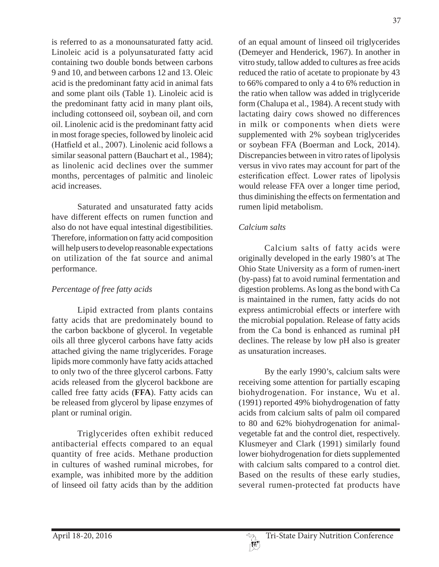is referred to as a monounsaturated fatty acid. Linoleic acid is a polyunsaturated fatty acid containing two double bonds between carbons 9 and 10, and between carbons 12 and 13. Oleic acid is the predominant fatty acid in animal fats and some plant oils (Table 1). Linoleic acid is the predominant fatty acid in many plant oils, including cottonseed oil, soybean oil, and corn oil. Linolenic acid is the predominant fatty acid in most forage species, followed by linoleic acid (Hatfield et al., 2007). Linolenic acid follows a similar seasonal pattern (Bauchart et al., 1984); as linolenic acid declines over the summer months, percentages of palmitic and linoleic acid increases.

 Saturated and unsaturated fatty acids have different effects on rumen function and also do not have equal intestinal digestibilities. Therefore, information on fatty acid composition will help users to develop reasonable expectations on utilization of the fat source and animal performance.

# *Percentage of free fatty acids*

 Lipid extracted from plants contains fatty acids that are predominately bound to the carbon backbone of glycerol. In vegetable oils all three glycerol carbons have fatty acids attached giving the name triglycerides. Forage lipids more commonly have fatty acids attached to only two of the three glycerol carbons. Fatty acids released from the glycerol backbone are called free fatty acids (**FFA**). Fatty acids can be released from glycerol by lipase enzymes of plant or ruminal origin.

 Triglycerides often exhibit reduced antibacterial effects compared to an equal quantity of free acids. Methane production in cultures of washed ruminal microbes, for example, was inhibited more by the addition of linseed oil fatty acids than by the addition of an equal amount of linseed oil triglycerides (Demeyer and Henderick, 1967). In another in vitro study, tallow added to cultures as free acids reduced the ratio of acetate to propionate by 43 to 66% compared to only a 4 to 6% reduction in the ratio when tallow was added in triglyceride form (Chalupa et al., 1984). A recent study with lactating dairy cows showed no differences in milk or components when diets were supplemented with 2% soybean triglycerides or soybean FFA (Boerman and Lock, 2014). Discrepancies between in vitro rates of lipolysis versus in vivo rates may account for part of the esterification effect. Lower rates of lipolysis would release FFA over a longer time period, thus diminishing the effects on fermentation and rumen lipid metabolism.

# *Calcium salts*

 Calcium salts of fatty acids were originally developed in the early 1980's at The Ohio State University as a form of rumen-inert (by-pass) fat to avoid ruminal fermentation and digestion problems. As long as the bond with Ca is maintained in the rumen, fatty acids do not express antimicrobial effects or interfere with the microbial population. Release of fatty acids from the Ca bond is enhanced as ruminal pH declines. The release by low pH also is greater as unsaturation increases.

 By the early 1990's, calcium salts were receiving some attention for partially escaping biohydrogenation. For instance, Wu et al. (1991) reported 49% biohydrogenation of fatty acids from calcium salts of palm oil compared to 80 and 62% biohydrogenation for animalvegetable fat and the control diet, respectively. Klusmeyer and Clark (1991) similarly found lower biohydrogenation for diets supplemented with calcium salts compared to a control diet. Based on the results of these early studies, several rumen-protected fat products have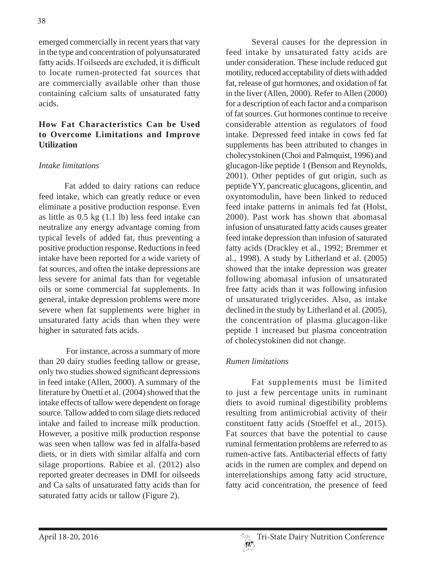emerged commercially in recent years that vary in the type and concentration of polyunsaturated fatty acids. If oilseeds are excluded, it is difficult to locate rumen-protected fat sources that are commercially available other than those containing calcium salts of unsaturated fatty acids.

## **How Fat Characteristics Can be Used to Overcome Limitations and Improve Utilization**

#### *Intake limitations*

 Fat added to dairy rations can reduce feed intake, which can greatly reduce or even eliminate a positive production response. Even as little as 0.5 kg (1.1 lb) less feed intake can neutralize any energy advantage coming from typical levels of added fat, thus preventing a positive production response. Reductions in feed intake have been reported for a wide variety of fat sources, and often the intake depressions are less severe for animal fats than for vegetable oils or some commercial fat supplements. In general, intake depression problems were more severe when fat supplements were higher in unsaturated fatty acids than when they were higher in saturated fats acids.

 For instance, across a summary of more than 20 dairy studies feeding tallow or grease, only two studies showed significant depressions in feed intake (Allen, 2000). A summary of the literature by Onetti et al. (2004) showed that the intake effects of tallow were dependent on forage source. Tallow added to corn silage diets reduced intake and failed to increase milk production. However, a positive milk production response was seen when tallow was fed in alfalfa-based diets, or in diets with similar alfalfa and corn silage proportions. Rabiee et al. (2012) also reported greater decreases in DMI for oilseeds and Ca salts of unsaturated fatty acids than for saturated fatty acids or tallow (Figure 2).

 Several causes for the depression in feed intake by unsaturated fatty acids are under consideration. These include reduced gut motility, reduced acceptability of diets with added fat, release of gut hormones, and oxidation of fat in the liver (Allen, 2000). Refer to Allen (2000) for a description of each factor and a comparison of fat sources. Gut hormones continue to receive considerable attention as regulators of food intake. Depressed feed intake in cows fed fat supplements has been attributed to changes in cholecystokinen (Choi and Palmquist, 1996) and glucagon-like peptide 1 (Benson and Reynolds, 2001). Other peptides of gut origin, such as peptide YY, pancreatic glucagons, glicentin, and oxyntomodulin, have been linked to reduced feed intake patterns in animals fed fat (Holst, 2000). Past work has shown that abomasal infusion of unsaturated fatty acids causes greater feed intake depression than infusion of saturated fatty acids (Drackley et al., 1992; Bremmer et al., 1998). A study by Litherland et al. (2005) showed that the intake depression was greater following abomasal infusion of unsaturated free fatty acids than it was following infusion of unsaturated triglycerides. Also, as intake declined in the study by Litherland et al. (2005), the concentration of plasma glucagon-like peptide 1 increased but plasma concentration of cholecystokinen did not change.

#### *Rumen limitations*

 Fat supplements must be limited to just a few percentage units in ruminant diets to avoid ruminal digestibility problems resulting from antimicrobial activity of their constituent fatty acids (Stoeffel et al., 2015). Fat sources that have the potential to cause ruminal fermentation problems are referred to as rumen-active fats. Antibacterial effects of fatty acids in the rumen are complex and depend on interrelationships among fatty acid structure, fatty acid concentration, the presence of feed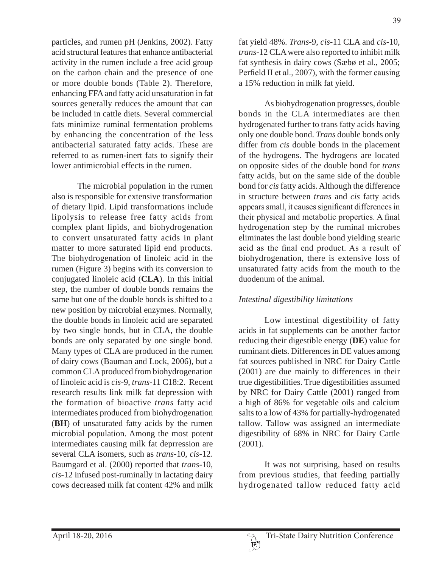particles, and rumen pH (Jenkins, 2002). Fatty acid structural features that enhance antibacterial activity in the rumen include a free acid group on the carbon chain and the presence of one or more double bonds (Table 2). Therefore, enhancing FFA and fatty acid unsaturation in fat sources generally reduces the amount that can be included in cattle diets. Several commercial fats minimize ruminal fermentation problems by enhancing the concentration of the less antibacterial saturated fatty acids. These are referred to as rumen-inert fats to signify their lower antimicrobial effects in the rumen.

 The microbial population in the rumen also is responsible for extensive transformation of dietary lipid. Lipid transformations include lipolysis to release free fatty acids from complex plant lipids, and biohydrogenation to convert unsaturated fatty acids in plant matter to more saturated lipid end products. The biohydrogenation of linoleic acid in the rumen (Figure 3) begins with its conversion to conjugated linoleic acid (**CLA**). In this initial step, the number of double bonds remains the same but one of the double bonds is shifted to a new position by microbial enzymes. Normally, the double bonds in linoleic acid are separated by two single bonds, but in CLA, the double bonds are only separated by one single bond. Many types of CLA are produced in the rumen of dairy cows (Bauman and Lock, 2006), but a common CLA produced from biohydrogenation of linoleic acid is *cis*-9, *trans*-11 C18:2. Recent research results link milk fat depression with the formation of bioactive *trans* fatty acid intermediates produced from biohydrogenation (**BH**) of unsaturated fatty acids by the rumen microbial population. Among the most potent intermediates causing milk fat deprression are several CLA isomers, such as *trans*-10, *cis*-12. Baumgard et al. (2000) reported that *trans*-10, *cis*-12 infused post-ruminally in lactating dairy cows decreased milk fat content 42% and milk fat yield 48%. *Trans*-9, *cis*-11 CLA and *cis*-10, *trans*-12 CLA were also reported to inhibit milk fat synthesis in dairy cows (Sæbø et al., 2005; Perfield II et al., 2007), with the former causing a 15% reduction in milk fat yield.

 As biohydrogenation progresses, double bonds in the CLA intermediates are then hydrogenated further to trans fatty acids having only one double bond. *Trans* double bonds only differ from *cis* double bonds in the placement of the hydrogens. The hydrogens are located on opposite sides of the double bond for *trans*  fatty acids, but on the same side of the double bond for *cis* fatty acids. Although the difference in structure between *trans* and *cis* fatty acids appears small, it causes significant differences in their physical and metabolic properties. A final hydrogenation step by the ruminal microbes eliminates the last double bond yielding stearic acid as the final end product. As a result of biohydrogenation, there is extensive loss of unsaturated fatty acids from the mouth to the duodenum of the animal.

#### *Intestinal digestibility limitations*

 Low intestinal digestibility of fatty acids in fat supplements can be another factor reducing their digestible energy (**DE**) value for ruminant diets. Differences in DE values among fat sources published in NRC for Dairy Cattle (2001) are due mainly to differences in their true digestibilities. True digestibilities assumed by NRC for Dairy Cattle (2001) ranged from a high of 86% for vegetable oils and calcium salts to a low of 43% for partially-hydrogenated tallow. Tallow was assigned an intermediate digestibility of 68% in NRC for Dairy Cattle (2001).

 It was not surprising, based on results from previous studies, that feeding partially hydrogenated tallow reduced fatty acid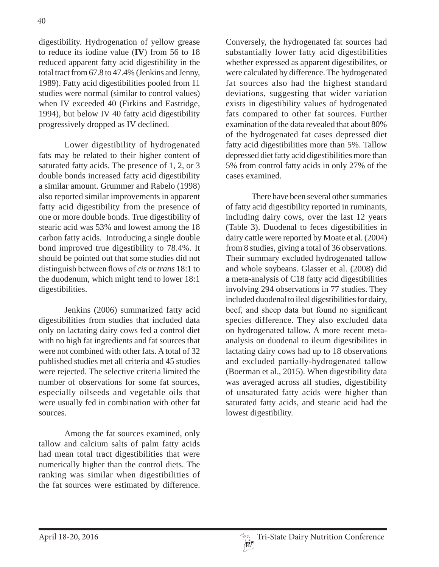digestibility. Hydrogenation of yellow grease to reduce its iodine value (**IV**) from 56 to 18 reduced apparent fatty acid digestibility in the total tract from 67.8 to 47.4% (Jenkins and Jenny, 1989). Fatty acid digestibilities pooled from 11 studies were normal (similar to control values) when IV exceeded 40 (Firkins and Eastridge, 1994), but below IV 40 fatty acid digestibility progressively dropped as IV declined.

 Lower digestibility of hydrogenated fats may be related to their higher content of saturated fatty acids. The presence of 1, 2, or 3 double bonds increased fatty acid digestibility a similar amount. Grummer and Rabelo (1998) also reported similar improvements in apparent fatty acid digestibility from the presence of one or more double bonds. True digestibility of stearic acid was 53% and lowest among the 18 carbon fatty acids. Introducing a single double bond improved true digestibility to 78.4%. It should be pointed out that some studies did not distinguish between flows of *cis* or *trans* 18:1 to the duodenum, which might tend to lower 18:1 digestibilities.

 Jenkins (2006) summarized fatty acid digestibilities from studies that included data only on lactating dairy cows fed a control diet with no high fat ingredients and fat sources that were not combined with other fats. A total of 32 published studies met all criteria and 45 studies were rejected. The selective criteria limited the number of observations for some fat sources, especially oilseeds and vegetable oils that were usually fed in combination with other fat sources.

 Among the fat sources examined, only tallow and calcium salts of palm fatty acids had mean total tract digestibilities that were numerically higher than the control diets. The ranking was similar when digestibilities of the fat sources were estimated by difference.

Conversely, the hydrogenated fat sources had substantially lower fatty acid digestibilities whether expressed as apparent digestibilites, or were calculated by difference. The hydrogenated fat sources also had the highest standard deviations, suggesting that wider variation exists in digestibility values of hydrogenated fats compared to other fat sources. Further examination of the data revealed that about 80% of the hydrogenated fat cases depressed diet fatty acid digestibilities more than 5%. Tallow depressed diet fatty acid digestibilities more than 5% from control fatty acids in only 27% of the cases examined.

 There have been several other summaries of fatty acid digestibility reported in ruminants, including dairy cows, over the last 12 years (Table 3). Duodenal to feces digestibilities in dairy cattle were reported by Moate et al. (2004) from 8 studies, giving a total of 36 observations. Their summary excluded hydrogenated tallow and whole soybeans. Glasser et al. (2008) did a meta-analysis of C18 fatty acid digestibilities involving 294 observations in 77 studies. They included duodenal to ileal digestibilities for dairy, beef, and sheep data but found no significant species difference. They also excluded data on hydrogenated tallow. A more recent metaanalysis on duodenal to ileum digestibilites in lactating dairy cows had up to 18 observations and excluded partially-hydrogenated tallow (Boerman et al., 2015). When digestibility data was averaged across all studies, digestibility of unsaturated fatty acids were higher than saturated fatty acids, and stearic acid had the lowest digestibility.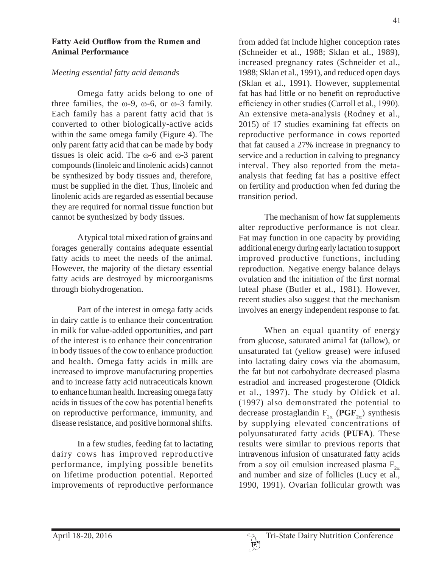#### **Fatty Acid Outflow from the Rumen and Animal Performance**

#### *Meeting essential fatty acid demands*

 Omega fatty acids belong to one of three families, the  $\omega$ -9,  $\omega$ -6, or  $\omega$ -3 family. Each family has a parent fatty acid that is converted to other biologically-active acids within the same omega family (Figure 4). The only parent fatty acid that can be made by body tissues is oleic acid. The  $\omega$ -6 and  $\omega$ -3 parent compounds (linoleic and linolenic acids) cannot be synthesized by body tissues and, therefore, must be supplied in the diet. Thus, linoleic and linolenic acids are regarded as essential because they are required for normal tissue function but cannot be synthesized by body tissues.

 A typical total mixed ration of grains and forages generally contains adequate essential fatty acids to meet the needs of the animal. However, the majority of the dietary essential fatty acids are destroyed by microorganisms through biohydrogenation.

 Part of the interest in omega fatty acids in dairy cattle is to enhance their concentration in milk for value-added opportunities, and part of the interest is to enhance their concentration in body tissues of the cow to enhance production and health. Omega fatty acids in milk are increased to improve manufacturing properties and to increase fatty acid nutraceuticals known to enhance human health. Increasing omega fatty acids in tissues of the cow has potential benefits on reproductive performance, immunity, and disease resistance, and positive hormonal shifts.

 In a few studies, feeding fat to lactating dairy cows has improved reproductive performance, implying possible benefits on lifetime production potential. Reported improvements of reproductive performance from added fat include higher conception rates (Schneider et al., 1988; Sklan et al., 1989), increased pregnancy rates (Schneider et al., 1988; Sklan et al., 1991), and reduced open days (Sklan et al., 1991). However, supplemental fat has had little or no benefit on reproductive efficiency in other studies (Carroll et al., 1990). An extensive meta-analysis (Rodney et al., 2015) of 17 studies examining fat effects on reproductive performance in cows reported that fat caused a 27% increase in pregnancy to service and a reduction in calving to pregnancy interval. They also reported from the metaanalysis that feeding fat has a positive effect on fertility and production when fed during the transition period.

 The mechanism of how fat supplements alter reproductive performance is not clear. Fat may function in one capacity by providing additional energy during early lactation to support improved productive functions, including reproduction. Negative energy balance delays ovulation and the initiation of the first normal luteal phase (Butler et al., 1981). However, recent studies also suggest that the mechanism involves an energy independent response to fat.

 When an equal quantity of energy from glucose, saturated animal fat (tallow), or unsaturated fat (yellow grease) were infused into lactating dairy cows via the abomasum, the fat but not carbohydrate decreased plasma estradiol and increased progesterone (Oldick et al., 1997). The study by Oldick et al. (1997) also demonstrated the potential to decrease prostaglandin  $F_{2\alpha}$  (PGF<sub>2 $\alpha$ </sub>) synthesis by supplying elevated concentrations of polyunsaturated fatty acids (**PUFA**). These results were similar to previous reports that intravenous infusion of unsaturated fatty acids from a soy oil emulsion increased plasma  $F_{2\alpha}$ and number and size of follicles (Lucy et al., 1990, 1991). Ovarian follicular growth was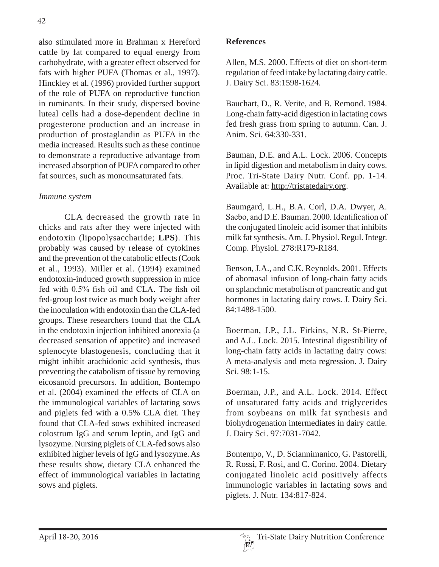also stimulated more in Brahman x Hereford cattle by fat compared to equal energy from carbohydrate, with a greater effect observed for fats with higher PUFA (Thomas et al., 1997). Hinckley et al. (1996) provided further support of the role of PUFA on reproductive function in ruminants. In their study, dispersed bovine luteal cells had a dose-dependent decline in progesterone production and an increase in production of prostaglandin as PUFA in the media increased. Results such as these continue to demonstrate a reproductive advantage from increased absorption of PUFA compared to other fat sources, such as monounsaturated fats.

# *Immune system*

 CLA decreased the growth rate in chicks and rats after they were injected with endotoxin (lipopolysaccharide; **LPS**). This probably was caused by release of cytokines and the prevention of the catabolic effects (Cook et al., 1993). Miller et al. (1994) examined endotoxin-induced growth suppression in mice fed with  $0.5\%$  fish oil and CLA. The fish oil fed-group lost twice as much body weight after the inoculation with endotoxin than the CLA-fed groups. These researchers found that the CLA in the endotoxin injection inhibited anorexia (a decreased sensation of appetite) and increased splenocyte blastogenesis, concluding that it might inhibit arachidonic acid synthesis, thus preventing the catabolism of tissue by removing eicosanoid precursors. In addition, Bontempo et al. (2004) examined the effects of CLA on the immunological variables of lactating sows and piglets fed with a 0.5% CLA diet. They found that CLA-fed sows exhibited increased colostrum IgG and serum leptin, and IgG and lysozyme. Nursing piglets of CLA-fed sows also exhibited higher levels of IgG and lysozyme. As these results show, dietary CLA enhanced the effect of immunological variables in lactating sows and piglets.

## **References**

Allen, M.S. 2000. Effects of diet on short-term regulation of feed intake by lactating dairy cattle. J. Dairy Sci. 83:1598-1624.

Bauchart, D., R. Verite, and B. Remond. 1984. Long-chain fatty-acid digestion in lactating cows fed fresh grass from spring to autumn. Can. J. Anim. Sci. 64:330-331.

Bauman, D.E. and A.L. Lock. 2006. Concepts in lipid digestion and metabolism in dairy cows. Proc. Tri-State Dairy Nutr. Conf. pp. 1-14. Available at: http://tristatedairy.org.

Baumgard, L.H., B.A. Corl, D.A. Dwyer, A. Saebo, and D.E. Bauman. 2000. Identification of the conjugated linoleic acid isomer that inhibits milk fat synthesis. Am. J. Physiol. Regul. Integr. Comp. Physiol. 278:R179-R184.

Benson, J.A., and C.K. Reynolds. 2001. Effects of abomasal infusion of long-chain fatty acids on splanchnic metabolism of pancreatic and gut hormones in lactating dairy cows. J. Dairy Sci. 84:1488-1500.

Boerman, J.P., J.L. Firkins, N.R. St-Pierre, and A.L. Lock. 2015. Intestinal digestibility of long-chain fatty acids in lactating dairy cows: A meta-analysis and meta regression. J. Dairy Sci. 98:1-15.

Boerman, J.P., and A.L. Lock. 2014. Effect of unsaturated fatty acids and triglycerides from soybeans on milk fat synthesis and biohydrogenation intermediates in dairy cattle. J. Dairy Sci. 97:7031-7042.

Bontempo, V., D. Sciannimanico, G. Pastorelli, R. Rossi, F. Rosi, and C. Corino. 2004. Dietary conjugated linoleic acid positively affects immunologic variables in lactating sows and piglets. J. Nutr. 134:817-824.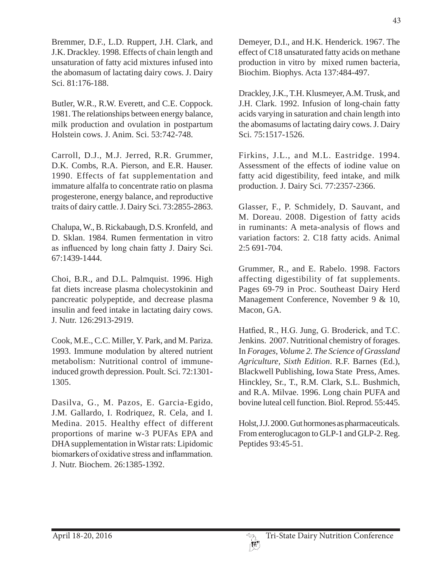Bremmer, D.F., L.D. Ruppert, J.H. Clark, and J.K. Drackley. 1998. Effects of chain length and unsaturation of fatty acid mixtures infused into the abomasum of lactating dairy cows. J. Dairy Sci. 81:176-188.

Butler, W.R., R.W. Everett, and C.E. Coppock. 1981. The relationships between energy balance, milk production and ovulation in postpartum Holstein cows. J. Anim. Sci. 53:742-748.

Carroll, D.J., M.J. Jerred, R.R. Grummer, D.K. Combs, R.A. Pierson, and E.R. Hauser. 1990. Effects of fat supplementation and immature alfalfa to concentrate ratio on plasma progesterone, energy balance, and reproductive traits of dairy cattle. J. Dairy Sci. 73:2855-2863.

Chalupa, W., B. Rickabaugh, D.S. Kronfeld, and D. Sklan. 1984. Rumen fermentation in vitro as influenced by long chain fatty J. Dairy Sci. 67:1439-1444.

Choi, B.R., and D.L. Palmquist. 1996. High fat diets increase plasma cholecystokinin and pancreatic polypeptide, and decrease plasma insulin and feed intake in lactating dairy cows. J. Nutr. 126:2913-2919.

Cook, M.E., C.C. Miller, Y. Park, and M. Pariza. 1993. Immune modulation by altered nutrient metabolism: Nutritional control of immuneinduced growth depression. Poult. Sci. 72:1301- 1305.

Dasilva, G., M. Pazos, E. Garcia-Egido, J.M. Gallardo, I. Rodriquez, R. Cela, and I. Medina. 2015. Healthy effect of different proportions of marine w-3 PUFAs EPA and DHA supplementation in Wistar rats: Lipidomic biomarkers of oxidative stress and inflammation J. Nutr. Biochem. 26:1385-1392.

Demeyer, D.I., and H.K. Henderick. 1967. The effect of C18 unsaturated fatty acids on methane production in vitro by mixed rumen bacteria, Biochim. Biophys. Acta 137:484-497.

Drackley, J.K., T.H. Klusmeyer, A.M. Trusk, and J.H. Clark. 1992. Infusion of long-chain fatty acids varying in saturation and chain length into the abomasums of lactating dairy cows. J. Dairy Sci. 75:1517-1526.

Firkins, J.L., and M.L. Eastridge. 1994. Assessment of the effects of iodine value on fatty acid digestibility, feed intake, and milk production. J. Dairy Sci. 77:2357-2366.

Glasser, F., P. Schmidely, D. Sauvant, and M. Doreau. 2008. Digestion of fatty acids in ruminants: A meta-analysis of flows and variation factors: 2. C18 fatty acids. Animal 2:5 691-704.

Grummer, R., and E. Rabelo. 1998. Factors affecting digestibility of fat supplements. Pages 69-79 in Proc. Southeast Dairy Herd Management Conference, November 9 & 10, Macon, GA.

Hatfied, R., H.G. Jung, G. Broderick, and T.C. Jenkins. 2007. Nutritional chemistry of forages. In *Forages, Volume 2. The Science of Grassland Agriculture, Sixth Edition*. R.F. Barnes (Ed.), Blackwell Publishing, Iowa State Press, Ames. Hinckley, Sr., T., R.M. Clark, S.L. Bushmich, and R.A. Milvae. 1996. Long chain PUFA and bovine luteal cell function. Biol. Reprod. 55:445.

Holst, J.J. 2000. Gut hormones as pharmaceuticals. From enteroglucagon to GLP-1 and GLP-2. Reg. Peptides 93:45-51.

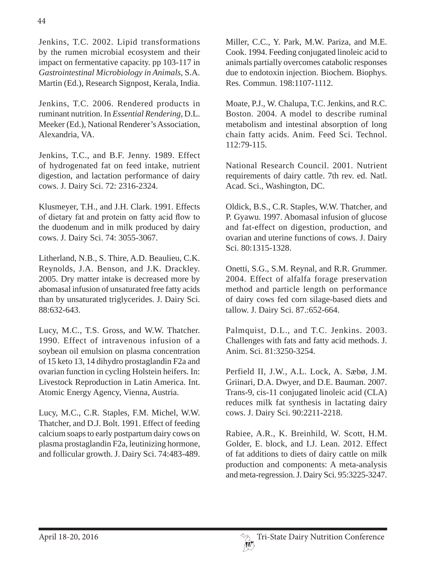Jenkins, T.C. 2002. Lipid transformations by the rumen microbial ecosystem and their impact on fermentative capacity. pp 103-117 in *Gastrointestinal Microbiology in Animals*, S.A. Martin (Ed.), Research Signpost, Kerala, India.

Jenkins, T.C. 2006. Rendered products in ruminant nutrition. In *Essential Rendering*, D.L. Meeker (Ed.), National Renderer's Association, Alexandria, VA.

Jenkins, T.C., and B.F. Jenny. 1989. Effect of hydrogenated fat on feed intake, nutrient digestion, and lactation performance of dairy cows. J. Dairy Sci. 72: 2316-2324.

Klusmeyer, T.H., and J.H. Clark. 1991. Effects of dietary fat and protein on fatty acid flow to the duodenum and in milk produced by dairy cows. J. Dairy Sci. 74: 3055-3067.

Litherland, N.B., S. Thire, A.D. Beaulieu, C.K. Reynolds, J.A. Benson, and J.K. Drackley. 2005. Dry matter intake is decreased more by abomasal infusion of unsaturated free fatty acids than by unsaturated triglycerides. J. Dairy Sci. 88:632-643.

Lucy, M.C., T.S. Gross, and W.W. Thatcher. 1990. Effect of intravenous infusion of a soybean oil emulsion on plasma concentration of 15 keto 13, 14 dihydro prostaglandin F2a and ovarian function in cycling Holstein heifers. In: Livestock Reproduction in Latin America. Int. Atomic Energy Agency, Vienna, Austria.

Lucy, M.C., C.R. Staples, F.M. Michel, W.W. Thatcher, and D.J. Bolt. 1991. Effect of feeding calcium soaps to early postpartum dairy cows on plasma prostaglandin F2a, leutinizing hormone, and follicular growth. J. Dairy Sci. 74:483-489.

Miller, C.C., Y. Park, M.W. Pariza, and M.E. Cook. 1994. Feeding conjugated linoleic acid to animals partially overcomes catabolic responses due to endotoxin injection. Biochem. Biophys. Res. Commun. 198:1107-1112.

Moate, P.J., W. Chalupa, T.C. Jenkins, and R.C. Boston. 2004. A model to describe ruminal metabolism and intestinal absorption of long chain fatty acids. Anim. Feed Sci. Technol. 112:79-115.

National Research Council. 2001. Nutrient requirements of dairy cattle. 7th rev. ed. Natl. Acad. Sci., Washington, DC.

Oldick, B.S., C.R. Staples, W.W. Thatcher, and P. Gyawu. 1997. Abomasal infusion of glucose and fat-effect on digestion, production, and ovarian and uterine functions of cows. J. Dairy Sci. 80:1315-1328.

Onetti, S.G., S.M. Reynal, and R.R. Grummer. 2004. Effect of alfalfa forage preservation method and particle length on performance of dairy cows fed corn silage-based diets and tallow. J. Dairy Sci. 87.:652-664.

Palmquist, D.L., and T.C. Jenkins. 2003. Challenges with fats and fatty acid methods. J. Anim. Sci. 81:3250-3254.

Perfield II, J.W., A.L. Lock, A. Sæbø, J.M. Griinari, D.A. Dwyer, and D.E. Bauman. 2007. Trans-9, cis-11 conjugated linoleic acid (CLA) reduces milk fat synthesis in lactating dairy cows. J. Dairy Sci. 90:2211-2218.

Rabiee, A.R., K. Breinhild, W. Scott, H.M. Golder, E. block, and I.J. Lean. 2012. Effect of fat additions to diets of dairy cattle on milk production and components: A meta-analysis and meta-regression. J. Dairy Sci. 95:3225-3247.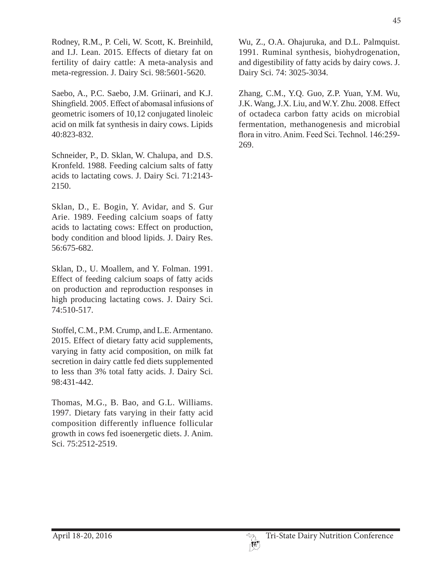Rodney, R.M., P. Celi, W. Scott, K. Breinhild, and I.J. Lean. 2015. Effects of dietary fat on fertility of dairy cattle: A meta-analysis and meta-regression. J. Dairy Sci. 98:5601-5620.

Saebo, A., P.C. Saebo, J.M. Griinari, and K.J. Shingfield. 2005. Effect of abomasal infusions of geometric isomers of 10,12 conjugated linoleic acid on milk fat synthesis in dairy cows. Lipids 40:823-832.

Schneider, P., D. Sklan, W. Chalupa, and D.S. Kronfeld. 1988. Feeding calcium salts of fatty acids to lactating cows. J. Dairy Sci. 71:2143- 2150.

Sklan, D., E. Bogin, Y. Avidar, and S. Gur Arie. 1989. Feeding calcium soaps of fatty acids to lactating cows: Effect on production, body condition and blood lipids. J. Dairy Res. 56:675-682.

Sklan, D., U. Moallem, and Y. Folman. 1991. Effect of feeding calcium soaps of fatty acids on production and reproduction responses in high producing lactating cows. J. Dairy Sci. 74:510-517.

Stoffel, C.M., P.M. Crump, and L.E. Armentano. 2015. Effect of dietary fatty acid supplements, varying in fatty acid composition, on milk fat secretion in dairy cattle fed diets supplemented to less than 3% total fatty acids. J. Dairy Sci. 98:431-442.

Thomas, M.G., B. Bao, and G.L. Williams. 1997. Dietary fats varying in their fatty acid composition differently influence follicular growth in cows fed isoenergetic diets. J. Anim. Sci. 75:2512-2519.

Wu, Z., O.A. Ohajuruka, and D.L. Palmquist. 1991. Ruminal synthesis, biohydrogenation, and digestibility of fatty acids by dairy cows. J. Dairy Sci. 74: 3025-3034.

Zhang, C.M., Y.Q. Guo, Z.P. Yuan, Y.M. Wu, J.K. Wang, J.X. Liu, and W.Y. Zhu. 2008. Effect of octadeca carbon fatty acids on microbial fermentation, methanogenesis and microbial flora in vitro. Anim. Feed Sci. Technol. 146:259-269.

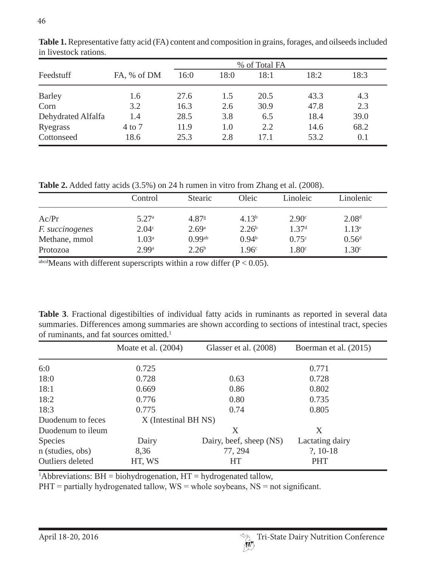|                    |             | % of Total FA |      |      |      |      |
|--------------------|-------------|---------------|------|------|------|------|
| Feedstuff          | FA, % of DM | 16:0          | 18:0 | 18:1 | 18:2 | 18:3 |
| <b>Barley</b>      | 1.6         | 27.6          | 1.5  | 20.5 | 43.3 | 4.3  |
| Corn               | 3.2         | 16.3          | 2.6  | 30.9 | 47.8 | 2.3  |
| Dehydrated Alfalfa | 1.4         | 28.5          | 3.8  | 6.5  | 18.4 | 39.0 |
| Ryegrass           | $4$ to $7$  | 11.9          | 1.0  | 2.2  | 14.6 | 68.2 |
| Cottonseed         | 18.6        | 25.3          | 2.8  | 17.1 | 53.2 | 0.1  |

**Table 1.** Representative fatty acid (FA) content and composition in grains, forages, and oilseeds included in livestock rations.

**Table 2.** Added fatty acids (3.5%) on 24 h rumen in vitro from Zhang et al. (2008).

|                        | Control           | <b>Stearic</b>       | Oleic             | Linoleic          | Linolenic         |
|------------------------|-------------------|----------------------|-------------------|-------------------|-------------------|
| Ac/Pr                  | 5.27 <sup>a</sup> | $4.87^{\circ}$       | $4.13^{b}$        | 2.90 <sup>c</sup> | 2.08 <sup>d</sup> |
| <i>F. succinogenes</i> | 2.04 <sup>c</sup> | 2.69 <sup>a</sup>    | 2.26 <sup>b</sup> | 1.37 <sup>d</sup> | $1.13^e$          |
| Methane, mmol          | 1.03 <sup>a</sup> | $0.99$ <sup>ab</sup> | 0.94 <sup>b</sup> | 0.75c             | 0.56 <sup>d</sup> |
| Protozoa               | 2.99a             | 2.26 <sup>b</sup>    | 1.96 <sup>c</sup> | 1.80 <sup>c</sup> | 1.30 <sup>c</sup> |

 $a<sub>abcd</sub>$  Means with different superscripts within a row differ (P < 0.05).

**Table 3**. Fractional digestibilties of individual fatty acids in ruminants as reported in several data summaries. Differences among summaries are shown according to sections of intestinal tract, species of ruminants, and fat sources omitted.<sup>1</sup>

|                         | Moate et al. $(2004)$ | Glasser et al. (2008)   | Boerman et al. (2015) |  |  |
|-------------------------|-----------------------|-------------------------|-----------------------|--|--|
| 6:0                     | 0.725                 |                         | 0.771                 |  |  |
| 18:0                    | 0.728                 | 0.63                    | 0.728                 |  |  |
| 18:1                    | 0.669                 | 0.86                    | 0.802                 |  |  |
| 18:2                    | 0.776                 | 0.80                    | 0.735                 |  |  |
| 18:3                    | 0.775                 | 0.74                    | 0.805                 |  |  |
| Duodenum to feces       | X (Intestinal BH NS)  |                         |                       |  |  |
| Duodenum to ileum       |                       | Χ                       | Χ                     |  |  |
| <b>Species</b>          | Dairy                 | Dairy, beef, sheep (NS) | Lactating dairy       |  |  |
| n (studies, obs)        | 8,36                  | 77, 294                 | $?$ , 10-18           |  |  |
| <b>Outliers</b> deleted | HT, WS                | <b>HT</b>               | <b>PHT</b>            |  |  |

<sup>1</sup>Abbreviations: BH = biohydrogenation, HT = hydrogenated tallow,

 $PHT =$  partially hydrogenated tallow,  $WS =$  whole soybeans,  $NS =$  not significant.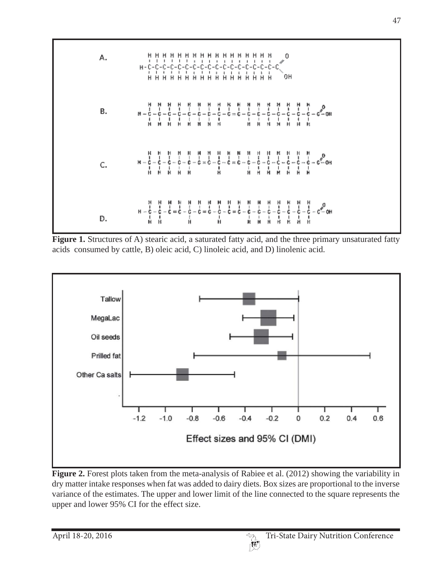

Figure 1. Structures of A) stearic acid, a saturated fatty acid, and the three primary unsaturated fatty acids consumed by cattle, B) oleic acid, C) linoleic acid, and D) linolenic acid.



**Figure 2.** Forest plots taken from the meta-analysis of Rabiee et al. (2012) showing the variability in dry matter intake responses when fat was added to dairy diets. Box sizes are proportional to the inverse variance of the estimates. The upper and lower limit of the line connected to the square represents the upper and lower 95% CI for the effect size.